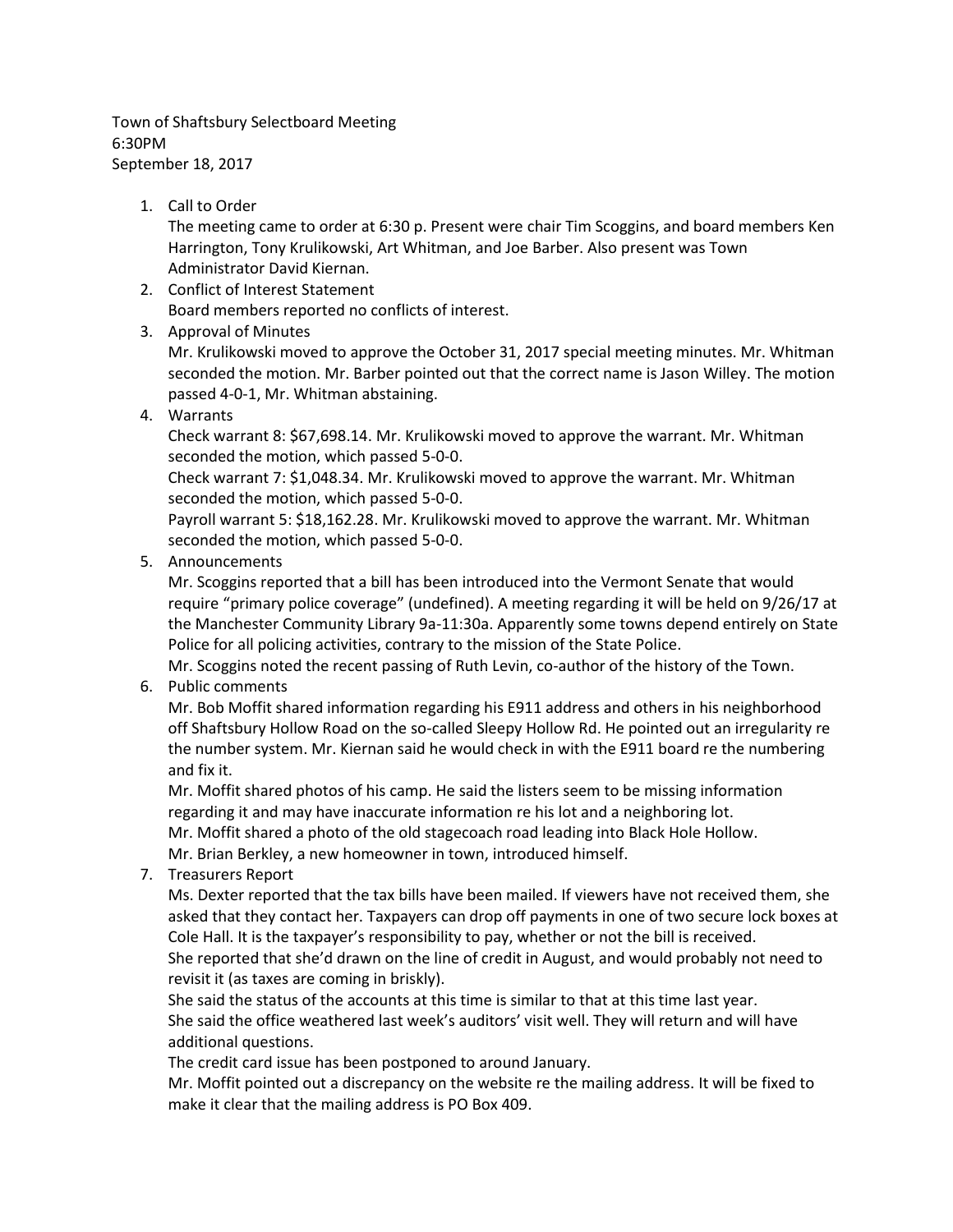Town of Shaftsbury Selectboard Meeting 6:30PM September 18, 2017

## 1. Call to Order

The meeting came to order at 6:30 p. Present were chair Tim Scoggins, and board members Ken Harrington, Tony Krulikowski, Art Whitman, and Joe Barber. Also present was Town Administrator David Kiernan.

- 2. Conflict of Interest Statement Board members reported no conflicts of interest.
- 3. Approval of Minutes

Mr. Krulikowski moved to approve the October 31, 2017 special meeting minutes. Mr. Whitman seconded the motion. Mr. Barber pointed out that the correct name is Jason Willey. The motion passed 4-0-1, Mr. Whitman abstaining.

4. Warrants

Check warrant 8: \$67,698.14. Mr. Krulikowski moved to approve the warrant. Mr. Whitman seconded the motion, which passed 5-0-0.

Check warrant 7: \$1,048.34. Mr. Krulikowski moved to approve the warrant. Mr. Whitman seconded the motion, which passed 5-0-0.

Payroll warrant 5: \$18,162.28. Mr. Krulikowski moved to approve the warrant. Mr. Whitman seconded the motion, which passed 5-0-0.

5. Announcements

Mr. Scoggins reported that a bill has been introduced into the Vermont Senate that would require "primary police coverage" (undefined). A meeting regarding it will be held on 9/26/17 at the Manchester Community Library 9a-11:30a. Apparently some towns depend entirely on State Police for all policing activities, contrary to the mission of the State Police.

Mr. Scoggins noted the recent passing of Ruth Levin, co-author of the history of the Town.

6. Public comments

Mr. Bob Moffit shared information regarding his E911 address and others in his neighborhood off Shaftsbury Hollow Road on the so-called Sleepy Hollow Rd. He pointed out an irregularity re the number system. Mr. Kiernan said he would check in with the E911 board re the numbering and fix it.

Mr. Moffit shared photos of his camp. He said the listers seem to be missing information regarding it and may have inaccurate information re his lot and a neighboring lot. Mr. Moffit shared a photo of the old stagecoach road leading into Black Hole Hollow.

Mr. Brian Berkley, a new homeowner in town, introduced himself.

7. Treasurers Report

Ms. Dexter reported that the tax bills have been mailed. If viewers have not received them, she asked that they contact her. Taxpayers can drop off payments in one of two secure lock boxes at Cole Hall. It is the taxpayer's responsibility to pay, whether or not the bill is received. She reported that she'd drawn on the line of credit in August, and would probably not need to revisit it (as taxes are coming in briskly).

She said the status of the accounts at this time is similar to that at this time last year. She said the office weathered last week's auditors' visit well. They will return and will have additional questions.

The credit card issue has been postponed to around January.

Mr. Moffit pointed out a discrepancy on the website re the mailing address. It will be fixed to make it clear that the mailing address is PO Box 409.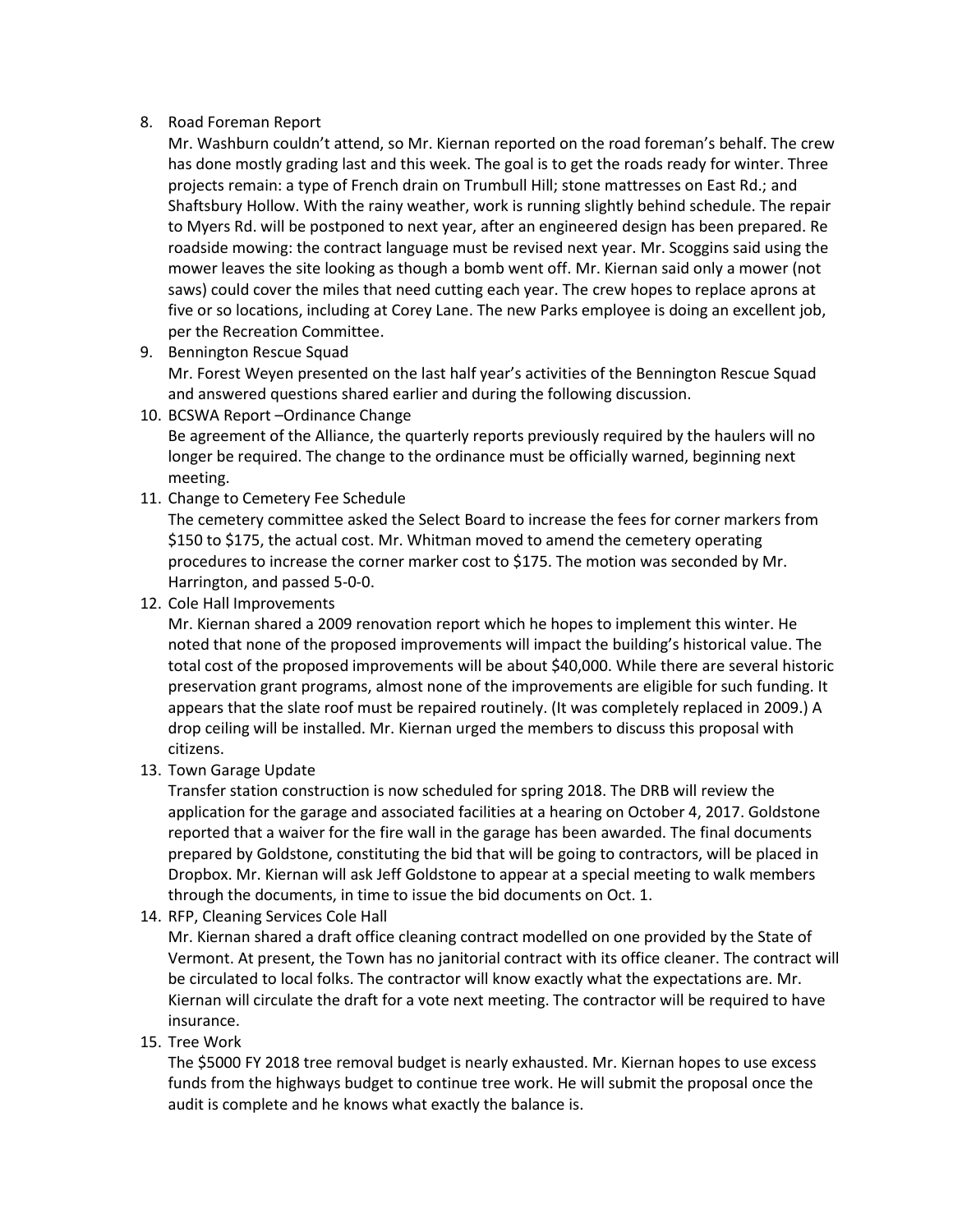## 8. Road Foreman Report

Mr. Washburn couldn't attend, so Mr. Kiernan reported on the road foreman's behalf. The crew has done mostly grading last and this week. The goal is to get the roads ready for winter. Three projects remain: a type of French drain on Trumbull Hill; stone mattresses on East Rd.; and Shaftsbury Hollow. With the rainy weather, work is running slightly behind schedule. The repair to Myers Rd. will be postponed to next year, after an engineered design has been prepared. Re roadside mowing: the contract language must be revised next year. Mr. Scoggins said using the mower leaves the site looking as though a bomb went off. Mr. Kiernan said only a mower (not saws) could cover the miles that need cutting each year. The crew hopes to replace aprons at five or so locations, including at Corey Lane. The new Parks employee is doing an excellent job, per the Recreation Committee.

- 9. Bennington Rescue Squad Mr. Forest Weyen presented on the last half year's activities of the Bennington Rescue Squad and answered questions shared earlier and during the following discussion.
- 10. BCSWA Report –Ordinance Change

Be agreement of the Alliance, the quarterly reports previously required by the haulers will no longer be required. The change to the ordinance must be officially warned, beginning next meeting.

11. Change to Cemetery Fee Schedule

The cemetery committee asked the Select Board to increase the fees for corner markers from \$150 to \$175, the actual cost. Mr. Whitman moved to amend the cemetery operating procedures to increase the corner marker cost to \$175. The motion was seconded by Mr. Harrington, and passed 5-0-0.

12. Cole Hall Improvements

Mr. Kiernan shared a 2009 renovation report which he hopes to implement this winter. He noted that none of the proposed improvements will impact the building's historical value. The total cost of the proposed improvements will be about \$40,000. While there are several historic preservation grant programs, almost none of the improvements are eligible for such funding. It appears that the slate roof must be repaired routinely. (It was completely replaced in 2009.) A drop ceiling will be installed. Mr. Kiernan urged the members to discuss this proposal with citizens.

13. Town Garage Update

Transfer station construction is now scheduled for spring 2018. The DRB will review the application for the garage and associated facilities at a hearing on October 4, 2017. Goldstone reported that a waiver for the fire wall in the garage has been awarded. The final documents prepared by Goldstone, constituting the bid that will be going to contractors, will be placed in Dropbox. Mr. Kiernan will ask Jeff Goldstone to appear at a special meeting to walk members through the documents, in time to issue the bid documents on Oct. 1.

14. RFP, Cleaning Services Cole Hall

Mr. Kiernan shared a draft office cleaning contract modelled on one provided by the State of Vermont. At present, the Town has no janitorial contract with its office cleaner. The contract will be circulated to local folks. The contractor will know exactly what the expectations are. Mr. Kiernan will circulate the draft for a vote next meeting. The contractor will be required to have insurance.

## 15. Tree Work

The \$5000 FY 2018 tree removal budget is nearly exhausted. Mr. Kiernan hopes to use excess funds from the highways budget to continue tree work. He will submit the proposal once the audit is complete and he knows what exactly the balance is.